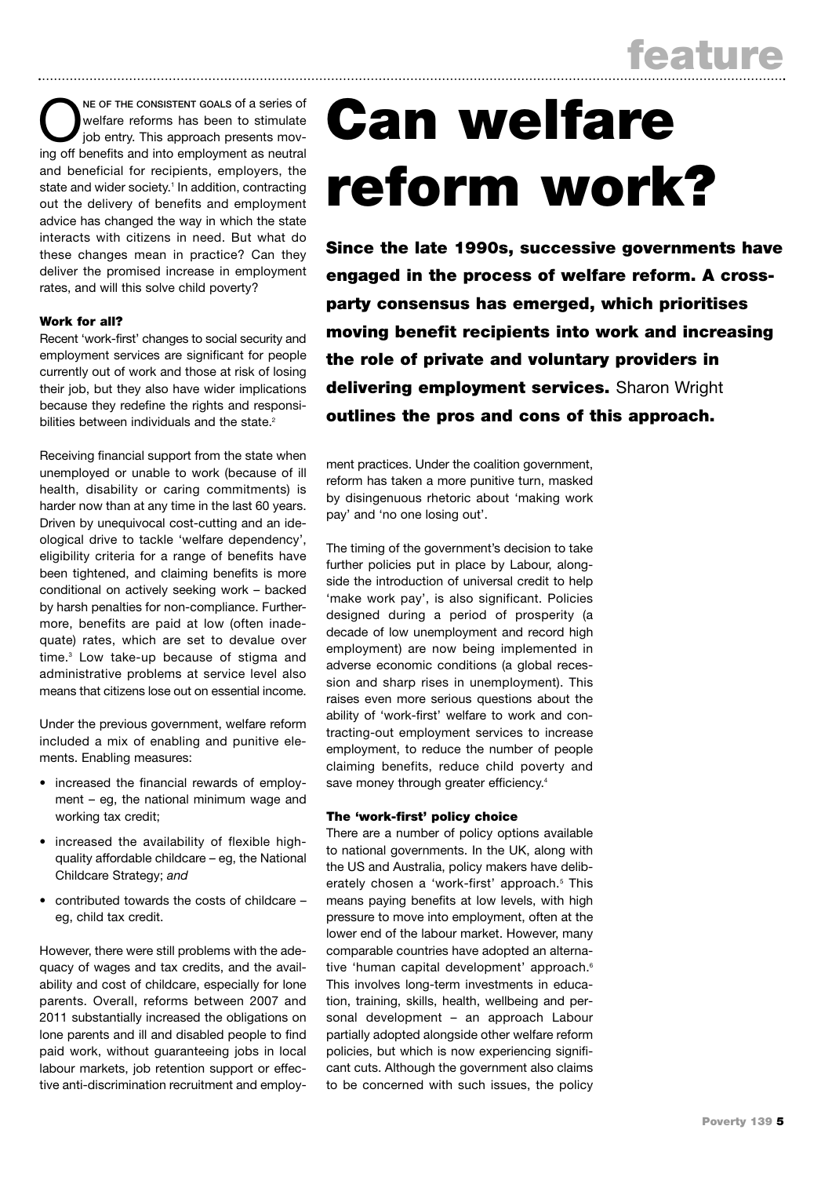NE OF THE CONSISTENT GOALS of a series of<br>
your position of the entry. This approach presents mov-<br>
in of the position and integrate and unrant as position welfare reforms has been to stimulate ing off benefits and into employment as neutral and beneficial for recipients, employers, the state and wider society.<sup>1</sup> In addition, contracting out the delivery of benefits and employment advice has changed the way in which the state interacts with citizens in need. But what do these changes mean in practice? Can they deliver the promised increase in employment rates, and will this solve child poverty?

# Work for all?

Recent 'work-first' changes to social security and employment services are significant for people currently out of work and those at risk of losing their job, but they also have wider implications because they redefine the rights and responsibilities between individuals and the state.<sup>2</sup>

Receiving financial support from the state when unemployed or unable to work (because of ill health, disability or caring commitments) is harder now than at any time in the last 60 years. Driven by unequivocal cost-cutting and an ideological drive to tackle 'welfare dependency', eligibility criteria for a range of benefits have been tightened, and claiming benefits is more conditional on actively seeking work – backed by harsh penalties for non-compliance. Furthermore, benefits are paid at low (often inadequate) rates, which are set to devalue over time.3 Low take-up because of stigma and administrative problems at service level also means that citizens lose out on essential income.

Under the previous government, welfare reform included a mix of enabling and punitive elements. Enabling measures:

- increased the financial rewards of employment – eg, the national minimum wage and working tax credit;
- increased the availability of flexible highquality affordable childcare – eg, the National Childcare Strategy; *and*
- contributed towards the costs of childcare eg, child tax credit.

However, there were still problems with the adequacy of wages and tax credits, and the availability and cost of childcare, especially for lone parents. Overall, reforms between 2007 and 2011 substantially increased the obligations on lone parents and ill and disabled people to find paid work, without guaranteeing jobs in local labour markets, job retention support or effective anti-discrimination recruitment and employ-

# Can welfare reform work?

Since the late 1990s, successive governments have engaged in the process of welfare reform. A crossparty consensus has emerged, which prioritises moving benefit recipients into work and increasing the role of private and voluntary providers in delivering employment services. Sharon Wright outlines the pros and cons of this approach.

ment practices. Under the coalition government, reform has taken a more punitive turn, masked by disingenuous rhetoric about 'making work pay' and 'no one losing out'.

The timing of the government's decision to take further policies put in place by Labour, alongside the introduction of universal credit to help 'make work pay', is also significant. Policies designed during a period of prosperity (a decade of low unemployment and record high employment) are now being implemented in adverse economic conditions (a global recession and sharp rises in unemployment). This raises even more serious questions about the ability of 'work-first' welfare to work and contracting-out employment services to increase employment, to reduce the number of people claiming benefits, reduce child poverty and save money through greater efficiency.<sup>4</sup>

# The 'work-first' policy choice

There are a number of policy options available to national governments. In the UK, along with the US and Australia, policy makers have deliberately chosen a 'work-first' approach.<sup>5</sup> This means paying benefits at low levels, with high pressure to move into employment, often at the lower end of the labour market. However, many comparable countries have adopted an alternative 'human capital development' approach.<sup>6</sup> This involves long-term investments in education, training, skills, health, wellbeing and personal development – an approach Labour partially adopted alongside other welfare reform policies, but which is now experiencing significant cuts. Although the government also claims to be concerned with such issues, the policy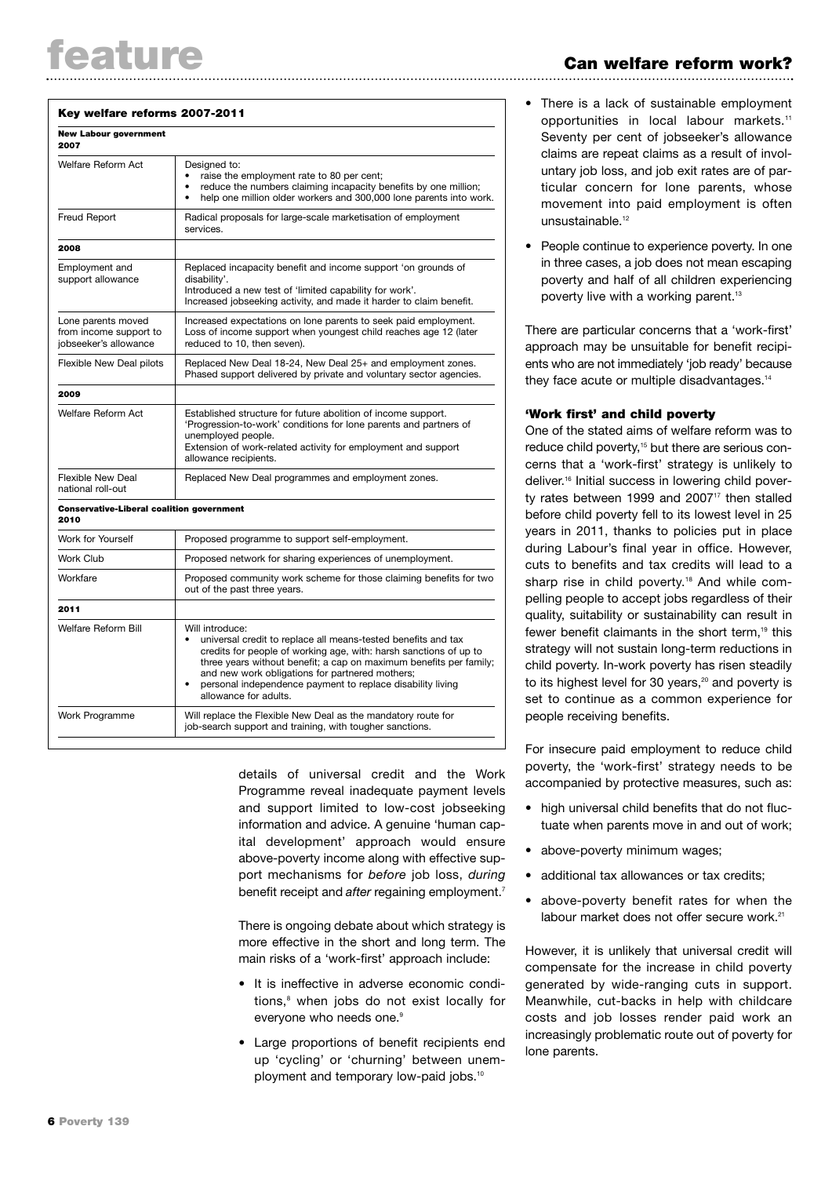#### Key welfare reforms 2007-2011

| 2007                                                                  |                                                                                                                                                                                                                                                                                                                                                                                         |
|-----------------------------------------------------------------------|-----------------------------------------------------------------------------------------------------------------------------------------------------------------------------------------------------------------------------------------------------------------------------------------------------------------------------------------------------------------------------------------|
| Welfare Reform Act                                                    | Designed to:<br>raise the employment rate to 80 per cent;<br>reduce the numbers claiming incapacity benefits by one million;<br>help one million older workers and 300,000 lone parents into work.<br>٠                                                                                                                                                                                 |
| Freud Report                                                          | Radical proposals for large-scale marketisation of employment<br>services.                                                                                                                                                                                                                                                                                                              |
| 2008                                                                  |                                                                                                                                                                                                                                                                                                                                                                                         |
| Employment and<br>support allowance                                   | Replaced incapacity benefit and income support 'on grounds of<br>disability'.<br>Introduced a new test of 'limited capability for work'.<br>Increased jobseeking activity, and made it harder to claim benefit.                                                                                                                                                                         |
| Lone parents moved<br>from income support to<br>iobseeker's allowance | Increased expectations on lone parents to seek paid employment.<br>Loss of income support when youngest child reaches age 12 (later<br>reduced to 10, then seven).                                                                                                                                                                                                                      |
| Flexible New Deal pilots                                              | Replaced New Deal 18-24, New Deal 25+ and employment zones.<br>Phased support delivered by private and voluntary sector agencies.                                                                                                                                                                                                                                                       |
| 2009                                                                  |                                                                                                                                                                                                                                                                                                                                                                                         |
| Welfare Reform Act                                                    | Established structure for future abolition of income support.<br>'Progression-to-work' conditions for lone parents and partners of<br>unemployed people.<br>Extension of work-related activity for employment and support<br>allowance recipients.                                                                                                                                      |
| <b>Flexible New Deal</b><br>national roll-out                         | Replaced New Deal programmes and employment zones.                                                                                                                                                                                                                                                                                                                                      |
| <b>Conservative-Liberal coalition government</b><br>2010              |                                                                                                                                                                                                                                                                                                                                                                                         |
| Work for Yourself                                                     | Proposed programme to support self-employment.                                                                                                                                                                                                                                                                                                                                          |
| Work Club                                                             | Proposed network for sharing experiences of unemployment.                                                                                                                                                                                                                                                                                                                               |
| Workfare                                                              | Proposed community work scheme for those claiming benefits for two<br>out of the past three years.                                                                                                                                                                                                                                                                                      |
| 2011                                                                  |                                                                                                                                                                                                                                                                                                                                                                                         |
| <b>Welfare Reform Bill</b>                                            | Will introduce:<br>universal credit to replace all means-tested benefits and tax<br>$\bullet$<br>credits for people of working age, with: harsh sanctions of up to<br>three years without benefit; a cap on maximum benefits per family;<br>and new work obligations for partnered mothers;<br>personal independence payment to replace disability living<br>٠<br>allowance for adults. |
| Work Programme                                                        | Will replace the Flexible New Deal as the mandatory route for<br>job-search support and training, with tougher sanctions.                                                                                                                                                                                                                                                               |

details of universal credit and the Work Programme reveal inadequate payment levels and support limited to low-cost jobseeking information and advice. A genuine 'human capital development' approach would ensure above-poverty income along with effective support mechanisms for *before* job loss, *during* benefit receipt and *after* regaining employment.7

There is ongoing debate about which strategy is more effective in the short and long term. The main risks of a 'work-first' approach include:

- It is ineffective in adverse economic conditions,<sup>8</sup> when jobs do not exist locally for everyone who needs one.<sup>9</sup>
- Large proportions of benefit recipients end up 'cycling' or 'churning' between unemployment and temporary low-paid jobs.<sup>10</sup>
- There is a lack of sustainable employment opportunities in local labour markets.11 Seventy per cent of jobseeker's allowance claims are repeat claims as a result of involuntary job loss, and job exit rates are of particular concern for lone parents, whose movement into paid employment is often unsustainable.<sup>12</sup>
- People continue to experience poverty. In one in three cases, a job does not mean escaping poverty and half of all children experiencing poverty live with a working parent.<sup>13</sup>

There are particular concerns that a 'work-first' approach may be unsuitable for benefit recipients who are not immediately 'job ready' because they face acute or multiple disadvantages.<sup>14</sup>

#### 'Work first' and child poverty

One of the stated aims of welfare reform was to reduce child poverty,<sup>15</sup> but there are serious concerns that a 'work-first' strategy is unlikely to deliver.<sup>16</sup> Initial success in lowering child poverty rates between 1999 and  $2007<sup>17</sup>$  then stalled before child poverty fell to its lowest level in 25 years in 2011, thanks to policies put in place during Labour's final year in office. However, cuts to benefits and tax credits will lead to a sharp rise in child poverty.<sup>18</sup> And while compelling people to accept jobs regardless of their quality, suitability or sustainability can result in fewer benefit claimants in the short term.<sup>19</sup> this strategy will not sustain long-term reductions in child poverty. In-work poverty has risen steadily to its highest level for 30 years.<sup>20</sup> and poverty is set to continue as a common experience for people receiving benefits.

For insecure paid employment to reduce child poverty, the 'work-first' strategy needs to be accompanied by protective measures, such as:

- high universal child benefits that do not fluctuate when parents move in and out of work;
- above-poverty minimum wages:
- additional tax allowances or tax credits:
- above-poverty benefit rates for when the labour market does not offer secure work.<sup>21</sup>

However, it is unlikely that universal credit will compensate for the increase in child poverty generated by wide-ranging cuts in support. Meanwhile, cut-backs in help with childcare costs and job losses render paid work an increasingly problematic route out of poverty for lone parents.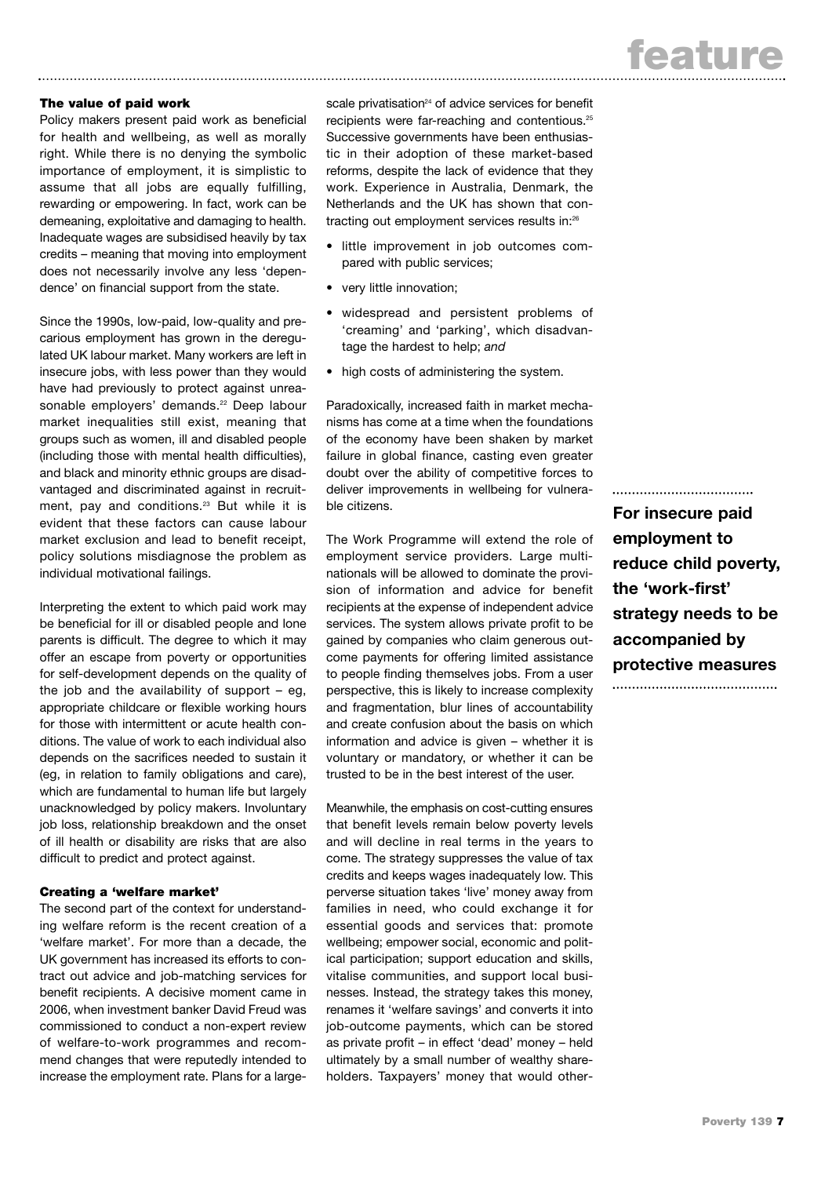# The value of paid work

Policy makers present paid work as beneficial for health and wellbeing, as well as morally right. While there is no denying the symbolic importance of employment, it is simplistic to assume that all jobs are equally fulfilling, rewarding or empowering. In fact, work can be demeaning, exploitative and damaging to health. Inadequate wages are subsidised heavily by tax credits – meaning that moving into employment does not necessarily involve any less 'dependence' on financial support from the state.

Since the 1990s, low-paid, low-quality and precarious employment has grown in the deregulated UK labour market. Many workers are left in insecure jobs, with less power than they would have had previously to protect against unreasonable employers' demands.<sup>22</sup> Deep labour market inequalities still exist, meaning that groups such as women, ill and disabled people (including those with mental health difficulties), and black and minority ethnic groups are disadvantaged and discriminated against in recruitment, pay and conditions.<sup>23</sup> But while it is evident that these factors can cause labour market exclusion and lead to benefit receipt, policy solutions misdiagnose the problem as individual motivational failings.

Interpreting the extent to which paid work may be beneficial for ill or disabled people and lone parents is difficult. The degree to which it may offer an escape from poverty or opportunities for self-development depends on the quality of the job and the availability of support  $-$  eg. appropriate childcare or flexible working hours for those with intermittent or acute health conditions. The value of work to each individual also depends on the sacrifices needed to sustain it (eg, in relation to family obligations and care), which are fundamental to human life but largely unacknowledged by policy makers. Involuntary job loss, relationship breakdown and the onset of ill health or disability are risks that are also difficult to predict and protect against.

# Creating a 'welfare market'

The second part of the context for understanding welfare reform is the recent creation of a 'welfare market'. For more than a decade, the UK government has increased its efforts to contract out advice and job-matching services for benefit recipients. A decisive moment came in 2006, when investment banker David Freud was commissioned to conduct a non-expert review of welfare-to-work programmes and recommend changes that were reputedly intended to increase the employment rate. Plans for a large-

scale privatisation<sup>24</sup> of advice services for benefit recipients were far-reaching and contentious.25 Successive governments have been enthusiastic in their adoption of these market-based reforms, despite the lack of evidence that they work. Experience in Australia, Denmark, the Netherlands and the UK has shown that contracting out employment services results in:26

- little improvement in job outcomes compared with public services;
- very little innovation;
- widespread and persistent problems of 'creaming' and 'parking', which disadvantage the hardest to help; *and*
- high costs of administering the system.

Paradoxically, increased faith in market mechanisms has come at a time when the foundations of the economy have been shaken by market failure in global finance, casting even greater doubt over the ability of competitive forces to deliver improvements in wellbeing for vulnerable citizens.

The Work Programme will extend the role of employment service providers. Large multinationals will be allowed to dominate the provision of information and advice for benefit recipients at the expense of independent advice services. The system allows private profit to be gained by companies who claim generous outcome payments for offering limited assistance to people finding themselves jobs. From a user perspective, this is likely to increase complexity and fragmentation, blur lines of accountability and create confusion about the basis on which information and advice is given – whether it is voluntary or mandatory, or whether it can be trusted to be in the best interest of the user.

Meanwhile, the emphasis on cost-cutting ensures that benefit levels remain below poverty levels and will decline in real terms in the years to come. The strategy suppresses the value of tax credits and keeps wages inadequately low. This perverse situation takes 'live' money away from families in need, who could exchange it for essential goods and services that: promote wellbeing; empower social, economic and political participation; support education and skills, vitalise communities, and support local businesses. Instead, the strategy takes this money, renames it 'welfare savings' and converts it into job-outcome payments, which can be stored as private profit – in effect 'dead' money – held ultimately by a small number of wealthy shareholders. Taxpayers' money that would other-

**For insecure paid employment to reduce child poverty, the 'work-first' strategy needs to be accompanied by protective measures**